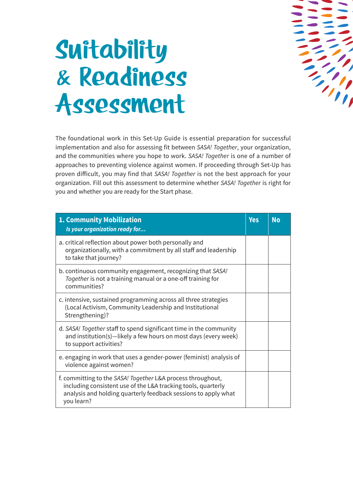

## **Suitability & Readiness Assessment**

The foundational work in this Set-Up Guide is essential preparation for successful implementation and also for assessing fit between *SASA! Together*, your organization, and the communities where you hope to work. *SASA! Together* is one of a number of approaches to preventing violence against women. If proceeding through Set-Up has proven difficult, you may find that *SASA! Together* is not the best approach for your organization. Fill out this assessment to determine whether *SASA! Together* is right for you and whether you are ready for the Start phase.

| <b>1. Community Mobilization</b><br>Is your organization ready for                                                                                                                                           | <b>Yes</b> | <b>No</b> |
|--------------------------------------------------------------------------------------------------------------------------------------------------------------------------------------------------------------|------------|-----------|
| a. critical reflection about power both personally and<br>organizationally, with a commitment by all staff and leadership<br>to take that journey?                                                           |            |           |
| b. continuous community engagement, recognizing that SASA!<br>Together is not a training manual or a one-off training for<br>communities?                                                                    |            |           |
| c. intensive, sustained programming across all three strategies<br>(Local Activism, Community Leadership and Institutional<br>Strengthening)?                                                                |            |           |
| d. SASA! Together staff to spend significant time in the community<br>and institution(s)-likely a few hours on most days (every week)<br>to support activities?                                              |            |           |
| e. engaging in work that uses a gender-power (feminist) analysis of<br>violence against women?                                                                                                               |            |           |
| f. committing to the SASA! Together L&A process throughout,<br>including consistent use of the L&A tracking tools, quarterly<br>analysis and holding quarterly feedback sessions to apply what<br>you learn? |            |           |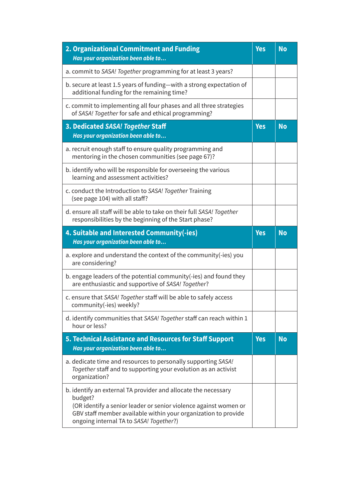| 2. Organizational Commitment and Funding<br>Has your organization been able to                                                                                                                                                                             | Yes        | <b>No</b> |
|------------------------------------------------------------------------------------------------------------------------------------------------------------------------------------------------------------------------------------------------------------|------------|-----------|
| a. commit to SASA! Together programming for at least 3 years?                                                                                                                                                                                              |            |           |
| b. secure at least 1.5 years of funding-with a strong expectation of<br>additional funding for the remaining time?                                                                                                                                         |            |           |
| c. commit to implementing all four phases and all three strategies<br>of SASA! Together for safe and ethical programming?                                                                                                                                  |            |           |
| 3. Dedicated SASA! Together Staff<br>Has your organization been able to                                                                                                                                                                                    | <b>Yes</b> | <b>No</b> |
| a. recruit enough staff to ensure quality programming and<br>mentoring in the chosen communities (see page 67)?                                                                                                                                            |            |           |
| b. identify who will be responsible for overseeing the various<br>learning and assessment activities?                                                                                                                                                      |            |           |
| c. conduct the Introduction to SASA! Together Training<br>(see page 104) with all staff?                                                                                                                                                                   |            |           |
| d. ensure all staff will be able to take on their full SASA! Together<br>responsibilities by the beginning of the Start phase?                                                                                                                             |            |           |
| 4. Suitable and Interested Community(-ies)<br>Has your organization been able to                                                                                                                                                                           | <b>Yes</b> | <b>No</b> |
| a. explore and understand the context of the community(-ies) you<br>are considering?                                                                                                                                                                       |            |           |
| b. engage leaders of the potential community(-ies) and found they<br>are enthusiastic and supportive of SASA! Together?                                                                                                                                    |            |           |
| c. ensure that SASA! Together staff will be able to safely access<br>community(-ies) weekly?                                                                                                                                                               |            |           |
| d. identify communities that SASA! Together staff can reach within 1<br>hour or less?                                                                                                                                                                      |            |           |
| <b>5. Technical Assistance and Resources for Staff Support</b><br>Has your organization been able to                                                                                                                                                       | <b>Yes</b> | <b>No</b> |
| a. dedicate time and resources to personally supporting SASA!<br>Together staff and to supporting your evolution as an activist<br>organization?                                                                                                           |            |           |
| b. identify an external TA provider and allocate the necessary<br>budget?<br>(OR identify a senior leader or senior violence against women or<br>GBV staff member available within your organization to provide<br>ongoing internal TA to SASA! Together?) |            |           |